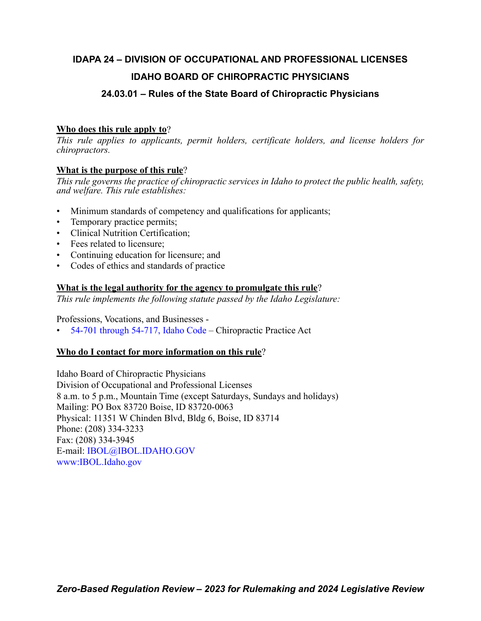## **IDAPA 24 – DIVISION OF OCCUPATIONAL AND PROFESSIONAL LICENSES IDAHO BOARD OF CHIROPRACTIC PHYSICIANS**

### **24.03.01 – Rules of the State Board of Chiropractic Physicians**

### **Who does this rule apply to**?

*This rule applies to applicants, permit holders, certificate holders, and license holders for chiropractors.*

### **What is the purpose of this rule**?

*This rule governs the practice of chiropractic services in Idaho to protect the public health, safety, and welfare. This rule establishes:*

- Minimum standards of competency and qualifications for applicants;
- Temporary practice permits;
- Clinical Nutrition Certification;
- Fees related to licensure;
- Continuing education for licensure; and
- Codes of ethics and standards of practice

### **What is the legal authority for the agency to promulgate this rule**?

*This rule implements the following statute passed by the Idaho Legislature:*

Professions, Vocations, and Businesses -

• [54-701 through 54-717, Idaho Code](https://legislature.idaho.gov/statutesrules/idstat/Title54/T54CH7/) – Chiropractic Practice Act

### **Who do I contact for more information on this rule**?

Idaho Board of Chiropractic Physicians Division of Occupational and Professional Licenses 8 a.m. to 5 p.m., Mountain Time (except Saturdays, Sundays and holidays) Mailing: PO Box 83720 Boise, ID 83720-0063 Physical: 11351 W Chinden Blvd, Bldg 6, Boise, ID 83714 Phone: (208) 334-3233 Fax: (208) 334-3945 E-mail: [IBOL@IBOL.IDAHO.GOV](mailto: IBOL@IBOL.IDAHO.GOV) [www:IBOL.Idaho.gov](http://www.ibol.idaho.gov/)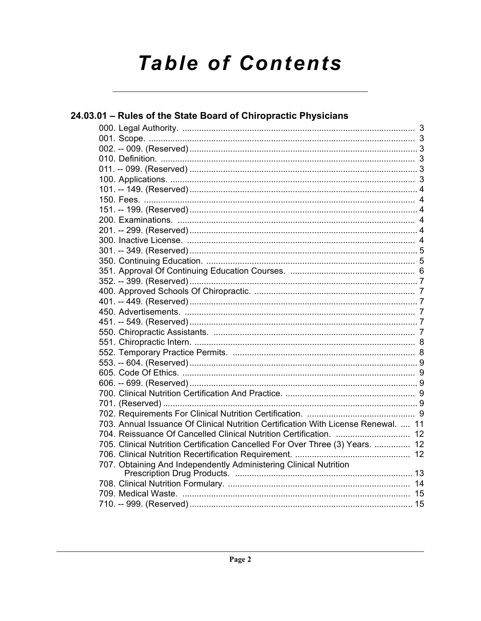# **Table of Contents**

| 24.03.01 - Rules of the State Board of Chiropractic Physicians                     |  |
|------------------------------------------------------------------------------------|--|
|                                                                                    |  |
|                                                                                    |  |
|                                                                                    |  |
|                                                                                    |  |
|                                                                                    |  |
|                                                                                    |  |
|                                                                                    |  |
|                                                                                    |  |
|                                                                                    |  |
|                                                                                    |  |
|                                                                                    |  |
|                                                                                    |  |
|                                                                                    |  |
|                                                                                    |  |
|                                                                                    |  |
|                                                                                    |  |
|                                                                                    |  |
|                                                                                    |  |
|                                                                                    |  |
|                                                                                    |  |
|                                                                                    |  |
|                                                                                    |  |
|                                                                                    |  |
|                                                                                    |  |
|                                                                                    |  |
|                                                                                    |  |
|                                                                                    |  |
|                                                                                    |  |
|                                                                                    |  |
| 703. Annual Issuance Of Clinical Nutrition Certification With License Renewal.  11 |  |
|                                                                                    |  |
| 705. Clinical Nutrition Certification Cancelled For Over Three (3) Years.  12      |  |
|                                                                                    |  |
| 707. Obtaining And Independently Administering Clinical Nutrition                  |  |
|                                                                                    |  |
|                                                                                    |  |
|                                                                                    |  |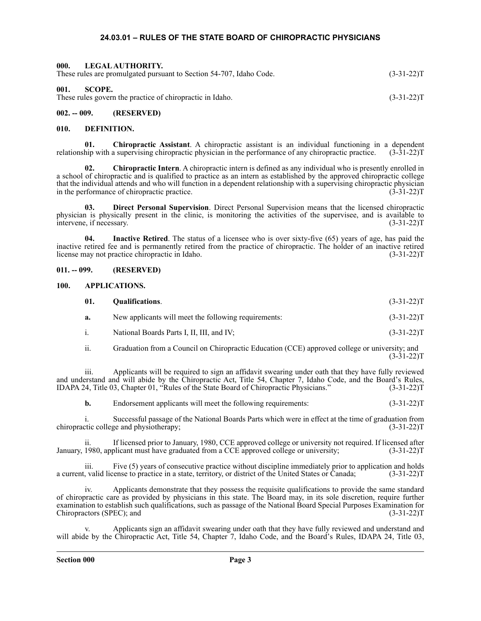### **24.03.01 – RULES OF THE STATE BOARD OF CHIROPRACTIC PHYSICIANS**

<span id="page-2-2"></span><span id="page-2-1"></span><span id="page-2-0"></span>

| 000.           | LEGAL AUTHORITY.<br>These rules are promulgated pursuant to Section 54-707, Idaho Code. | $(3-31-22)T$ |
|----------------|-----------------------------------------------------------------------------------------|--------------|
| 001.<br>SCOPE. | These rules govern the practice of chiropractic in Idaho.                               | $(3-31-22)T$ |
| 002. -- 009.   | (RESERVED)                                                                              |              |

### <span id="page-2-4"></span><span id="page-2-3"></span>**010. DEFINITION.**

**01. Chiropractic Assistant**. A chiropractic assistant is an individual functioning in a dependent relationship with a supervising chiropractic physician in the performance of any chiropractic practice. (3-31-22)T

**02. Chiropractic Intern**. A chiropractic intern is defined as any individual who is presently enrolled in a school of chiropractic and is qualified to practice as an intern as established by the approved chiropractic college that the individual attends and who will function in a dependent relationship with a supervising chiropractic physician in the performance of chiropractic practice. (3-31-22)T

**03. Direct Personal Supervision**. Direct Personal Supervision means that the licensed chiropractic physician is physically present in the clinic, is monitoring the activities of the supervisee, and is available to intervene, if necessary. (3-31-22)T

**04. Inactive Retired**. The status of a licensee who is over sixty-five (65) years of age, has paid the inactive retired fee and is permanently retired from the practice of chiropractic. The holder of an inactive retired license may not practice chiropractic in Idaho. (3-31-22)T

### <span id="page-2-5"></span>**011. -- 099. (RESERVED)**

### <span id="page-2-6"></span>**100. APPLICATIONS.**

| 01. | <b>Qualifications.</b> | $(3-31-22)T$ |
|-----|------------------------|--------------|
|     |                        |              |

- **a.** New applicants will meet the following requirements: (3-31-22)T
- i. National Boards Parts I, II, III, and IV; (3-31-22) T
- ii. Graduation from a Council on Chiropractic Education (CCE) approved college or university; and  $(3-31-22)T$

iii. Applicants will be required to sign an affidavit swearing under oath that they have fully reviewed and understand and will abide by the Chiropractic Act, Title 54, Chapter 7, Idaho Code, and the Board's Rules, IDAPA 24, Title 03, Chapter 01, "Rules of the State Board of Chiropractic Physicians." (3-31-22)T

**b.** Endorsement applicants will meet the following requirements:  $(3-31-22)T$ 

i. Successful passage of the National Boards Parts which were in effect at the time of graduation from tic college and physiotherapy; (3-31-22) chiropractic college and physiotherapy;

If licensed prior to January, 1980, CCE approved college or university not required. If licensed after January, 1980, applicant must have graduated from a CCE approved college or university; (3-31-22)T

iii. Five (5) years of consecutive practice without discipline immediately prior to application and holds a current, valid license to practice in a state, territory, or district of the United States or Canada; (3-31-22)T

iv. Applicants demonstrate that they possess the requisite qualifications to provide the same standard of chiropractic care as provided by physicians in this state. The Board may, in its sole discretion, require further examination to establish such qualifications, such as passage of the National Board Special Purposes Examination for Chiropractors (SPEC); and

Applicants sign an affidavit swearing under oath that they have fully reviewed and understand and will abide by the Chiropractic Act, Title 54, Chapter 7, Idaho Code, and the Board's Rules, IDAPA 24, Title 03,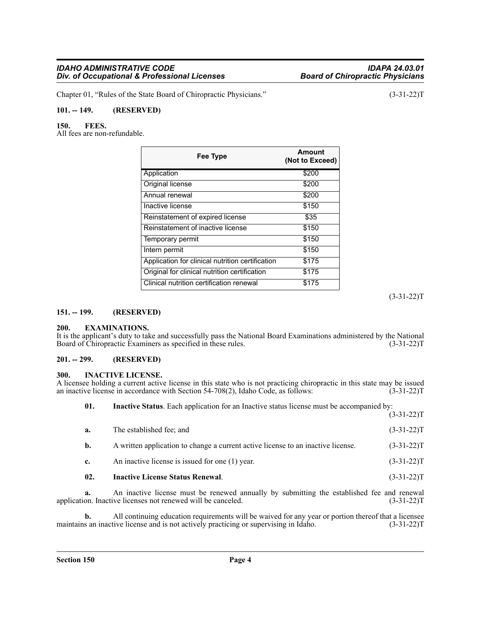Chapter 01, "Rules of the State Board of Chiropractic Physicians." (3-31-22)T

### <span id="page-3-0"></span>**101. -- 149. (RESERVED)**

### <span id="page-3-1"></span>**150. FEES.**

All fees are non-refundable.

| Fee Type                                         | Amount<br>(Not to Exceed) |
|--------------------------------------------------|---------------------------|
| Application                                      | \$200                     |
| Original license                                 | \$200                     |
| Annual renewal                                   | \$200                     |
| Inactive license                                 | \$150                     |
| Reinstatement of expired license                 | \$35                      |
| Reinstatement of inactive license                | \$150                     |
| Temporary permit                                 | \$150                     |
| Intern permit                                    | \$150                     |
| Application for clinical nutrition certification | \$175                     |
| Original for clinical nutrition certification    | \$175                     |
| Clinical nutrition certification renewal         | \$175                     |

(3-31-22)T

### <span id="page-3-2"></span>**151. -- 199. (RESERVED)**

### <span id="page-3-3"></span>**200. EXAMINATIONS.**

It is the applicant's duty to take and successfully pass the National Board Examinations administered by the National Board of Chiropractic Examiners as specified in these rules. (3-31-22) Board of Chiropractic Examiners as specified in these rules.

### <span id="page-3-4"></span>**201. -- 299. (RESERVED)**

### <span id="page-3-5"></span>**300. INACTIVE LICENSE.**

A licensee holding a current active license in this state who is not practicing chiropractic in this state may be issued<br>an inactive license in accordance with Section 54-708(2). Idaho Code, as follows: (3-31-22) an inactive license in accordance with Section  $54-708(2)$ , Idaho Code, as follows:

| 01. | <b>Inactive Status.</b> Each application for an Inactive status license must be accompanied by: |              |
|-----|-------------------------------------------------------------------------------------------------|--------------|
|     |                                                                                                 | $(3-31-22)T$ |
| a.  | The established fee; and                                                                        | $(3-31-22)T$ |
| b.  | A written application to change a current active license to an inactive license.                | $(3-31-22)T$ |
| c.  | An inactive license is issued for one (1) year.                                                 | $(3-31-22)T$ |
| 02. | <b>Inactive License Status Renewal.</b>                                                         | $(3-31-22)T$ |

**a.** An inactive license must be renewed annually by submitting the established fee and renewal application. Inactive licenses not renewed will be canceled. (3-31-22)T

**b.** All continuing education requirements will be waived for any year or portion thereof that a licensee maintains an inactive license and is not actively practicing or supervising in Idaho. (3-31-22)T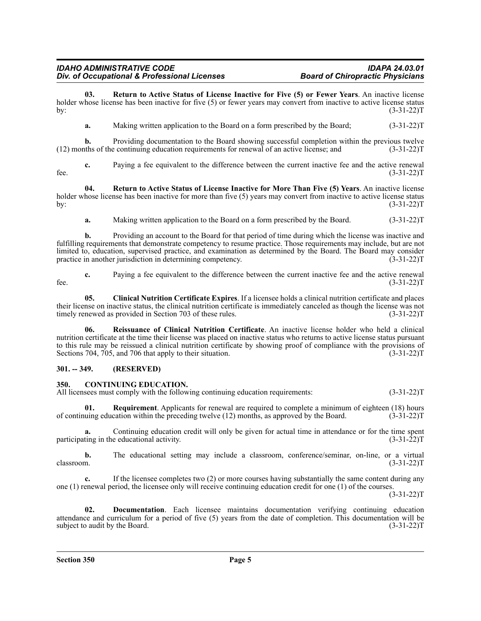**03. Return to Active Status of License Inactive for Five (5) or Fewer Years**. An inactive license holder whose license has been inactive for five (5) or fewer years may convert from inactive to active license status by: (3-31-22)T

**a.** Making written application to the Board on a form prescribed by the Board; (3-31-22)T

**b.** Providing documentation to the Board showing successful completion within the previous twelve this of the continuing education requirements for renewal of an active license; and (3-31-22)  $(12)$  months of the continuing education requirements for renewal of an active license; and

**c.** Paying a fee equivalent to the difference between the current inactive fee and the active renewal (3-31-22) fee.  $(3-31-22)T$ 

**04. Return to Active Status of License Inactive for More Than Five (5) Years**. An inactive license holder whose license has been inactive for more than five (5) years may convert from inactive to active license status by: (3-31-22)T

**a.** Making written application to the Board on a form prescribed by the Board. (3-31-22)T

**b.** Providing an account to the Board for that period of time during which the license was inactive and fulfilling requirements that demonstrate competency to resume practice. Those requirements may include, but are not limited to, education, supervised practice, and examination as determined by the Board. The Board may consider practice in another jurisdiction in determining competency. (3-31-22) practice in another jurisdiction in determining competency.

**c.** Paying a fee equivalent to the difference between the current inactive fee and the active renewal fee.  $(3-31-22)T$ 

**05. Clinical Nutrition Certificate Expires**. If a licensee holds a clinical nutrition certificate and places their license on inactive status, the clinical nutrition certificate is immediately canceled as though the license was not timely renewed as provided in Section 703 of these rules. (3-31-22) timely renewed as provided in Section 703 of these rules.

**06. Reissuance of Clinical Nutrition Certificate**. An inactive license holder who held a clinical nutrition certificate at the time their license was placed on inactive status who returns to active license status pursuant to this rule may be reissued a clinical nutrition certificate by showing proof of compliance with the provisions of Sections 704, 705, and 706 that apply to their situation. (3-31-22) T

### <span id="page-4-0"></span>**301. -- 349. (RESERVED)**

### <span id="page-4-1"></span>**350. CONTINUING EDUCATION.**

All licensees must comply with the following continuing education requirements: (3-31-22)T

**01. Requirement**. Applicants for renewal are required to complete a minimum of eighteen (18) hours of continuing education within the preceding twelve (12) months, as approved by the Board. (3-31-22)T

**a.** Continuing education credit will only be given for actual time in attendance or for the time spent ting in the educational activity.  $(3-31-22)$ participating in the educational activity.

**b.** The educational setting may include a classroom, conference/seminar, on-line, or a virtual classroom. (3-31-22)T

**c.** If the licensee completes two (2) or more courses having substantially the same content during any one (1) renewal period, the licensee only will receive continuing education credit for one (1) of the courses.

 $(3-31-22)T$ 

**02. Documentation**. Each licensee maintains documentation verifying continuing education attendance and curriculum for a period of five (5) years from the date of completion. This documentation will be subject to audit by the Board. (3-31-22) subject to audit by the Board.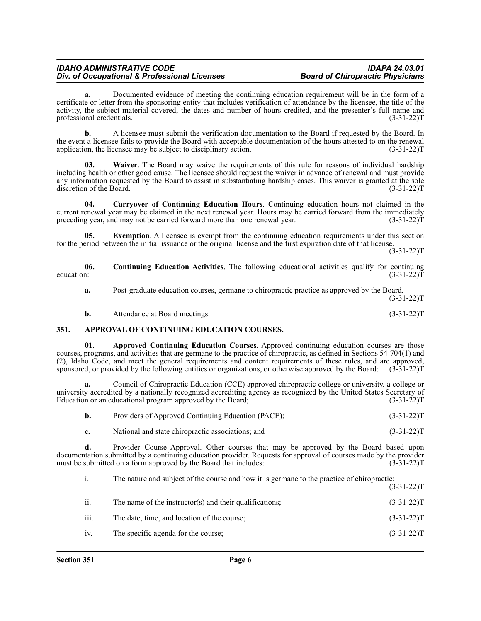**a.** Documented evidence of meeting the continuing education requirement will be in the form of a certificate or letter from the sponsoring entity that includes verification of attendance by the licensee, the title of the activity, the subject material covered, the dates and number of hours credited, and the presenter's full name and professional credentials. (3-31-22) professional credentials.

**b.** A licensee must submit the verification documentation to the Board if requested by the Board. In the event a licensee fails to provide the Board with acceptable documentation of the hours attested to on the renewal application, the licensee may be subject to disciplinary action. (3-31-22) (3-31-22) T

**03. Waiver**. The Board may waive the requirements of this rule for reasons of individual hardship including health or other good cause. The licensee should request the waiver in advance of renewal and must provide any information requested by the Board to assist in substantiating hardship cases. This waiver is granted at the sole discretion of the Board. (3-31-22) discretion of the Board.

**04. Carryover of Continuing Education Hours**. Continuing education hours not claimed in the current renewal year may be claimed in the next renewal year. Hours may be carried forward from the immediately preceding year, and may not be carried forward more than one renewal year. (3-31-22) preceding year, and may not be carried forward more than one renewal year.

**Exemption**. A licensee is exempt from the continuing education requirements under this section for the period between the initial issuance or the original license and the first expiration date of that license.

 $(3-31-22)T$ 

**06. Continuing Education Activities**. The following educational activities qualify for continuing education:  $(3-31-22)\overline{T}$  (3.31-22)

**a.** Post-graduate education courses, germane to chiropractic practice as approved by the Board.  $(3-31-22)T$ 

| b. | Attendance at Board meetings. | $(3-31-22)T$ |
|----|-------------------------------|--------------|

### <span id="page-5-0"></span>**351. APPROVAL OF CONTINUING EDUCATION COURSES.**

**01. Approved Continuing Education Courses**. Approved continuing education courses are those courses, programs, and activities that are germane to the practice of chiropractic, as defined in Sections 54-704(1) and (2), Idaho Code, and meet the general requirements and content requirements of these rules, and are approved, sponsored, or provided by the following entities or organizations, or otherwise approved by the Board: (3-31-22)T

**a.** Council of Chiropractic Education (CCE) approved chiropractic college or university, a college or university accredited by a nationally recognized accrediting agency as recognized by the United States Secretary of Education or an educational program approved by the Board; (3-31-22) Education or an educational program approved by the Board;

| Providers of Approved Continuing Education (PACE); | $(3-31-22)T$ |
|----------------------------------------------------|--------------|
| National and state chiropractic associations; and  | $(3-31-22)T$ |

**d.** Provider Course Approval. Other courses that may be approved by the Board based upon documentation submitted by a continuing education provider. Requests for approval of courses made by the provider must be submitted on a form approved by the Board that includes: (3-31-22) m

| i.   | The nature and subject of the course and how it is germane to the practice of chiropractic; | $(3-31-22)T$ |
|------|---------------------------------------------------------------------------------------------|--------------|
| ii.  | The name of the instructor(s) and their qualifications;                                     | $(3-31-22)T$ |
| iii. | The date, time, and location of the course;                                                 | $(3-31-22)T$ |
| iv.  | The specific agenda for the course;                                                         | $(3-31-22)T$ |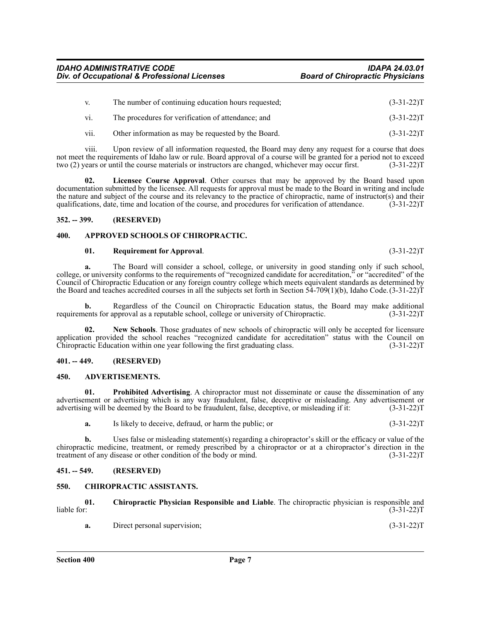| V.   | The number of continuing education hours requested; | $(3-31-22)T$ |
|------|-----------------------------------------------------|--------------|
| VI.  | The procedures for verification of attendance; and  | $(3-31-22)T$ |
| vii. | Other information as may be requested by the Board. | $(3-31-22)T$ |

viii. Upon review of all information requested, the Board may deny any request for a course that does not meet the requirements of Idaho law or rule. Board approval of a course will be granted for a period not to exceed two (2) years or until the course materials or instructors are changed, whichever may occur first. (3-31-22)T

Licensee Course Approval. Other courses that may be approved by the Board based upon documentation submitted by the licensee. All requests for approval must be made to the Board in writing and include the nature and subject of the course and its relevancy to the practice of chiropractic, name of instructor(s) and their qualifications, date, time and location of the course, and procedures for verification of attendance. (3-31-22)T

### <span id="page-6-0"></span>**352. -- 399. (RESERVED)**

### <span id="page-6-1"></span>**400. APPROVED SCHOOLS OF CHIROPRACTIC.**

### **01. Requirement for Approval**. (3-31-22)T

**a.** The Board will consider a school, college, or university in good standing only if such school, college, or university conforms to the requirements of "recognized candidate for accreditation," or "accredited" of the Council of Chiropractic Education or any foreign country college which meets equivalent standards as determined by the Board and teaches accredited courses in all the subjects set forth in Section 54-709(1)(b), Idaho Code.(3-31-22)T

**b.** Regardless of the Council on Chiropractic Education status, the Board may make additional ents for approval as a reputable school, college or university of Chiropractic. (3-31-22) requirements for approval as a reputable school, college or university of Chiropractic.

**02. New Schools**. Those graduates of new schools of chiropractic will only be accepted for licensure application provided the school reaches "recognized candidate for accreditation" status with the Council on Chiropractic Education within one year following the first graduating class. (3-31-22)T

### <span id="page-6-2"></span>**401. -- 449. (RESERVED)**

### <span id="page-6-3"></span>**450. ADVERTISEMENTS.**

**01. Prohibited Advertising**. A chiropractor must not disseminate or cause the dissemination of any advertisement or advertising which is any way fraudulent, false, deceptive or misleading. Any advertisement or advertising will be deemed by the Board to be fraudulent, false, deceptive, or misleading if it: (3-31-22)T

**a.** Is likely to deceive, defraud, or harm the public; or (3-31-22) (3-31-22) T

**b.** Uses false or misleading statement(s) regarding a chiropractor's skill or the efficacy or value of the chiropractic medicine, treatment, or remedy prescribed by a chiropractor or at a chiropractor's direction in the treatment of any disease or other condition of the body or mind.  $(3-31-22)$ T

### <span id="page-6-4"></span>**451. -- 549. (RESERVED)**

### <span id="page-6-5"></span>**550. CHIROPRACTIC ASSISTANTS.**

**01. Chiropractic Physician Responsible and Liable**. The chiropractic physician is responsible and  $liable for:$  (3-31-22)T

| а. | Direct personal supervision: | $(3-31-22)T$ |
|----|------------------------------|--------------|
|----|------------------------------|--------------|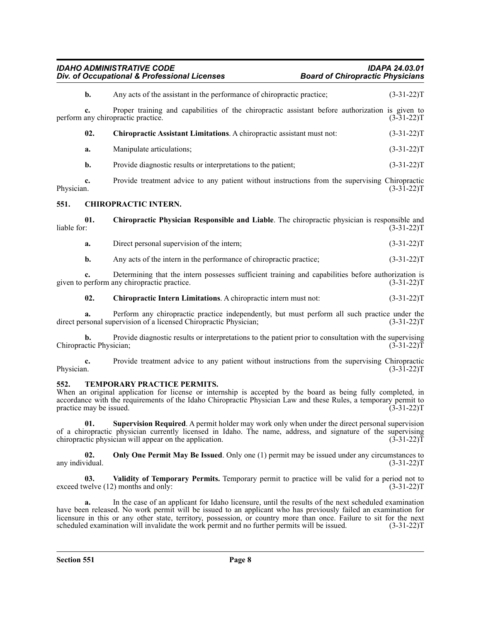| <b>IDAHO ADMINISTRATIVE CODE</b>             | IDAPA 24.03.01                          |
|----------------------------------------------|-----------------------------------------|
| Div. of Occupational & Professional Licenses | <b>Board of Chiropractic Physicians</b> |

<span id="page-7-0"></span>

|             | $b$ .                         | Any acts of the assistant in the performance of chiropractic practice;                                                                                             | $(3-31-22)T$ |
|-------------|-------------------------------|--------------------------------------------------------------------------------------------------------------------------------------------------------------------|--------------|
|             | c.                            | Proper training and capabilities of the chiropractic assistant before authorization is given to<br>perform any chiropractic practice.                              | $(3-31-22)T$ |
|             | 02.                           | Chiropractic Assistant Limitations. A chiropractic assistant must not:                                                                                             | $(3-31-22)T$ |
|             | a.                            | Manipulate articulations;                                                                                                                                          | $(3-31-22)T$ |
|             | b.                            | Provide diagnostic results or interpretations to the patient;                                                                                                      | $(3-31-22)T$ |
| Physician.  | c.                            | Provide treatment advice to any patient without instructions from the supervising Chiropractic                                                                     | $(3-31-22)T$ |
| 551.        |                               | <b>CHIROPRACTIC INTERN.</b>                                                                                                                                        |              |
| liable for: | 01.                           | Chiropractic Physician Responsible and Liable. The chiropractic physician is responsible and                                                                       | $(3-31-22)T$ |
|             | a.                            | Direct personal supervision of the intern;                                                                                                                         | $(3-31-22)T$ |
|             | b.                            | Any acts of the intern in the performance of chiropractic practice;                                                                                                | $(3-31-22)T$ |
|             | c.                            | Determining that the intern possesses sufficient training and capabilities before authorization is<br>given to perform any chiropractic practice.                  | $(3-31-22)T$ |
|             | 02.                           | Chiropractic Intern Limitations. A chiropractic intern must not:                                                                                                   | $(3-31-22)T$ |
|             | a.                            | Perform any chiropractic practice independently, but must perform all such practice under the<br>direct personal supervision of a licensed Chiropractic Physician; | $(3-31-22)T$ |
|             | h.<br>Chiropractic Physician; | Provide diagnostic results or interpretations to the patient prior to consultation with the supervising                                                            | $(3-31-22)T$ |
| Physician.  | c.                            | Provide treatment advice to any patient without instructions from the supervising Chiropractic                                                                     | $(3-31-22)T$ |
|             |                               |                                                                                                                                                                    |              |

### <span id="page-7-1"></span>**552. TEMPORARY PRACTICE PERMITS.**

When an original application for license or internship is accepted by the board as being fully completed, in accordance with the requirements of the Idaho Chiropractic Physician Law and these Rules, a temporary permit to practice may be issued. (3-31-22) practice may be issued.

**01. Supervision Required**. A permit holder may work only when under the direct personal supervision of a chiropractic physician currently licensed in Idaho. The name, address, and signature of the supervising chiropractic physician will appear on the application. (3-31-22) T

**02. Only One Permit May Be Issued**. Only one (1) permit may be issued under any circumstances to any individual. (3-31-22)T

**03. Validity of Temporary Permits.** Temporary permit to practice will be valid for a period not to exceed twelve (12) months and only: (3-31-22)T

**a.** In the case of an applicant for Idaho licensure, until the results of the next scheduled examination have been released. No work permit will be issued to an applicant who has previously failed an examination for licensure in this or any other state, territory, possession, or country more than once. Failure to sit for the next scheduled examination will invalidate the work permit and no further permits will be issued. (3-31-22) T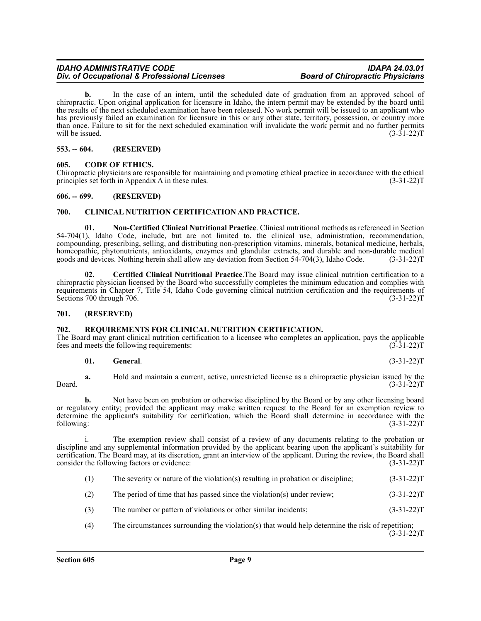**b.** In the case of an intern, until the scheduled date of graduation from an approved school of chiropractic. Upon original application for licensure in Idaho, the intern permit may be extended by the board until the results of the next scheduled examination have been released. No work permit will be issued to an applicant who has previously failed an examination for licensure in this or any other state, territory, possession, or country more than once. Failure to sit for the next scheduled examination will invalidate the work permit and no further permits will be issued.  $(3-31-22)T$ 

### <span id="page-8-0"></span>**553. -- 604. (RESERVED)**

### <span id="page-8-1"></span>**605. CODE OF ETHICS.**

Chiropractic physicians are responsible for maintaining and promoting ethical practice in accordance with the ethical principles set forth in Appendix A in these rules. (3-31-22)T

### <span id="page-8-2"></span>**606. -- 699. (RESERVED)**

### <span id="page-8-3"></span>**700. CLINICAL NUTRITION CERTIFICATION AND PRACTICE.**

**01. Non-Certified Clinical Nutritional Practice**. Clinical nutritional methods as referenced in Section 54-704(1), Idaho Code, include, but are not limited to, the clinical use, administration, recommendation, compounding, prescribing, selling, and distributing non-prescription vitamins, minerals, botanical medicine, herbals, homeopathic, phytonutrients, antioxidants, enzymes and glandular extracts, and durable and non-durable medical goods and devices. Nothing herein shall allow any deviation from Section 54-704(3), Idaho Code. (3-31-22)T goods and devices. Nothing herein shall allow any deviation from Section 54-704(3), Idaho Code.

**02. Certified Clinical Nutritional Practice**.The Board may issue clinical nutrition certification to a chiropractic physician licensed by the Board who successfully completes the minimum education and complies with requirements in Chapter 7, Title 54, Idaho Code governing clinical nutrition certification and the requirements of Sections 700 through 706. (3-31-22) T

### <span id="page-8-4"></span>**701. (RESERVED)**

### <span id="page-8-5"></span>**702. REQUIREMENTS FOR CLINICAL NUTRITION CERTIFICATION.**

The Board may grant clinical nutrition certification to a licensee who completes an application, pays the applicable fees and meets the following requirements: (3-31-22)T

### **01. General**. (3-31-22)T

**a.** Hold and maintain a current, active, unrestricted license as a chiropractic physician issued by the  $Board.$  (3-31-22)T

**b.** Not have been on probation or otherwise disciplined by the Board or by any other licensing board or regulatory entity; provided the applicant may make written request to the Board for an exemption review to determine the applicant's suitability for certification, which the Board shall determine in accordance with the following: (3-31-22)T

i. The exemption review shall consist of a review of any documents relating to the probation or discipline and any supplemental information provided by the applicant bearing upon the applicant's suitability for certification. The Board may, at its discretion, grant an interview of the applicant. During the review, the Board shall consider the following factors or evidence: (3-31-22)T

- (1) The severity or nature of the violation(s) resulting in probation or discipline; (3-31-22)T
- (2) The period of time that has passed since the violation(s) under review;  $(3-31-22)$ T
- (3) The number or pattern of violations or other similar incidents; (3-31-22)T
- (4) The circumstances surrounding the violation(s) that would help determine the risk of repetition;  $(3-31-22)T$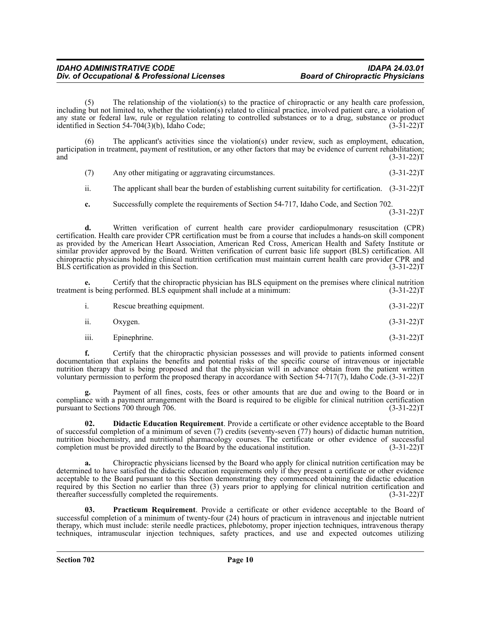(5) The relationship of the violation(s) to the practice of chiropractic or any health care profession, including but not limited to, whether the violation(s) related to clinical practice, involved patient care, a violation of any state or federal law, rule or regulation relating to controlled substances or to a drug, substance or product identified in Section 54-704(3)(b), Idaho Code; (3-31-22)T

(6) The applicant's activities since the violation(s) under review, such as employment, education, participation in treatment, payment of restitution, or any other factors that may be evidence of current rehabilitation;  $(3-31-22)T$  (3.31-22) T

(7) Any other mitigating or aggravating circumstances. (3-31-22)T

ii. The applicant shall bear the burden of establishing current suitability for certification. (3-31-22)T

**c.** Successfully complete the requirements of Section 54-717, Idaho Code, and Section 702.  $(3-31-22)T$ 

**d.** Written verification of current health care provider cardiopulmonary resuscitation (CPR) certification. Health care provider CPR certification must be from a course that includes a hands-on skill component as provided by the American Heart Association, American Red Cross, American Health and Safety Institute or similar provider approved by the Board. Written verification of current basic life support (BLS) certification. All chiropractic physicians holding clinical nutrition certification must maintain current health care provider CPR and BLS certification as provided in this Section.

**e.** Certify that the chiropractic physician has BLS equipment on the premises where clinical nutrition t is being performed. BLS equipment shall include at a minimum: (3-31-22) treatment is being performed. BLS equipment shall include at a minimum:

|     | Rescue breathing equipment. | $(3-31-22)T$ |
|-----|-----------------------------|--------------|
| ii. | Oxygen.                     | $(3-31-22)T$ |

iii. Epinephrine.  $(3-31-22)T$ 

**f.** Certify that the chiropractic physician possesses and will provide to patients informed consent documentation that explains the benefits and potential risks of the specific course of intravenous or injectable nutrition therapy that is being proposed and that the physician will in advance obtain from the patient written voluntary permission to perform the proposed therapy in accordance with Section 54-717(7), Idaho Code.(3-31-22)T

Payment of all fines, costs, fees or other amounts that are due and owing to the Board or in compliance with a payment arrangement with the Board is required to be eligible for clinical nutrition certification pursuant to Sections 700 through 706.  $(3-31-22)T$ 

**02. Didactic Education Requirement**. Provide a certificate or other evidence acceptable to the Board of successful completion of a minimum of seven (7) credits (seventy-seven (77) hours) of didactic human nutrition, nutrition biochemistry, and nutritional pharmacology courses. The certificate or other evidence of successful<br>completion must be provided directly to the Board by the educational institution. (3-31-22) completion must be provided directly to the Board by the educational institution.

**a.** Chiropractic physicians licensed by the Board who apply for clinical nutrition certification may be determined to have satisfied the didactic education requirements only if they present a certificate or other evidence acceptable to the Board pursuant to this Section demonstrating they commenced obtaining the didactic education required by this Section no earlier than three (3) years prior to applying for clinical nutrition certification and thereafter successfully completed the requirements. (3-31-22)T

**03. Practicum Requirement**. Provide a certificate or other evidence acceptable to the Board of successful completion of a minimum of twenty-four (24) hours of practicum in intravenous and injectable nutrient therapy, which must include: sterile needle practices, phlebotomy, proper injection techniques, intravenous therapy techniques, intramuscular injection techniques, safety practices, and use and expected outcomes utilizing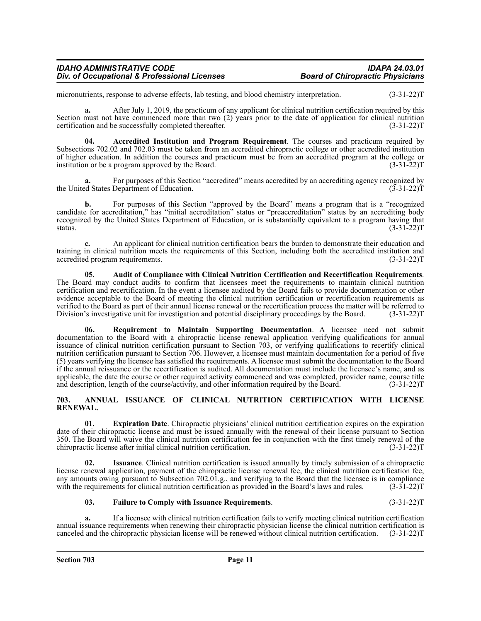| <b>IDAHO ADMINISTRATIVE CODE</b>             | <b>IDAPA 24.03.01</b>                   |
|----------------------------------------------|-----------------------------------------|
| Div. of Occupational & Professional Licenses | <b>Board of Chiropractic Physicians</b> |

micronutrients, response to adverse effects, lab testing, and blood chemistry interpretation. (3-31-22) T

**a.** After July 1, 2019, the practicum of any applicant for clinical nutrition certification required by this Section must not have commenced more than two (2) years prior to the date of application for clinical nutrition certification and be successfully completed thereafter. (3-31-22)T

**04. Accredited Institution and Program Requirement**. The courses and practicum required by Subsections 702.02 and 702.03 must be taken from an accredited chiropractic college or other accredited institution of higher education. In addition the courses and practicum must be from an accredited program at the college or institution or be a program approved by the Board.  $(3-31-22)T$ 

For purposes of this Section "accredited" means accredited by an accrediting agency recognized by Department of Education. (3-31-22) the United States Department of Education.

**b.** For purposes of this Section "approved by the Board" means a program that is a "recognized candidate for accreditation," has "initial accreditation" status or "preaccreditation" status by an accrediting body recognized by the United States Department of Education, or is substantially equivalent to a program having that status.  $(3-31-22)T$ 

**c.** An applicant for clinical nutrition certification bears the burden to demonstrate their education and training in clinical nutrition meets the requirements of this Section, including both the accredited institution and accredited program requirements. (3-31-22) accredited program requirements.

**05. Audit of Compliance with Clinical Nutrition Certification and Recertification Requirements**. The Board may conduct audits to confirm that licensees meet the requirements to maintain clinical nutrition certification and recertification. In the event a licensee audited by the Board fails to provide documentation or other evidence acceptable to the Board of meeting the clinical nutrition certification or recertification requirements as verified to the Board as part of their annual license renewal or the recertification process the matter will be referred to Division's investigative unit for investigation and potential disciplinary proceedings by the Board. (3-31-22)T

**06. Requirement to Maintain Supporting Documentation**. A licensee need not submit documentation to the Board with a chiropractic license renewal application verifying qualifications for annual issuance of clinical nutrition certification pursuant to Section 703, or verifying qualifications to recertify clinical nutrition certification pursuant to Section 706. However, a licensee must maintain documentation for a period of five (5) years verifying the licensee has satisfied the requirements. A licensee must submit the documentation to the Board if the annual reissuance or the recertification is audited. All documentation must include the licensee's name, and as applicable, the date the course or other required activity commenced and was completed, provider name, course title and description, length of the course/activity, and other information required by the Board. (3-31-22)T

### <span id="page-10-0"></span>**703. ANNUAL ISSUANCE OF CLINICAL NUTRITION CERTIFICATION WITH LICENSE RENEWAL.**

**01. Expiration Date**. Chiropractic physicians' clinical nutrition certification expires on the expiration date of their chiropractic license and must be issued annually with the renewal of their license pursuant to Section 350. The Board will waive the clinical nutrition certification fee in conjunction with the first timely renewal of the chiropractic license after initial clinical nutrition certification. (3-31-22) chiropractic license after initial clinical nutrition certification.

**02. Issuance**. Clinical nutrition certification is issued annually by timely submission of a chiropractic license renewal application, payment of the chiropractic license renewal fee, the clinical nutrition certification fee, any amounts owing pursuant to Subsection 702.01.g., and verifying to the Board that the licensee is in compliance with the requirements for clinical nutrition certification as provided in the Board's laws and rules. (3-31-22)T

### **03. Failure to Comply with Issuance Requirements**. (3-31-22)T

**a.** If a licensee with clinical nutrition certification fails to verify meeting clinical nutrition certification annual issuance requirements when renewing their chiropractic physician license the clinical nutrition certification is canceled and the chiropractic physician license will be renewed without clinical nutrition certification. (3-31-22)T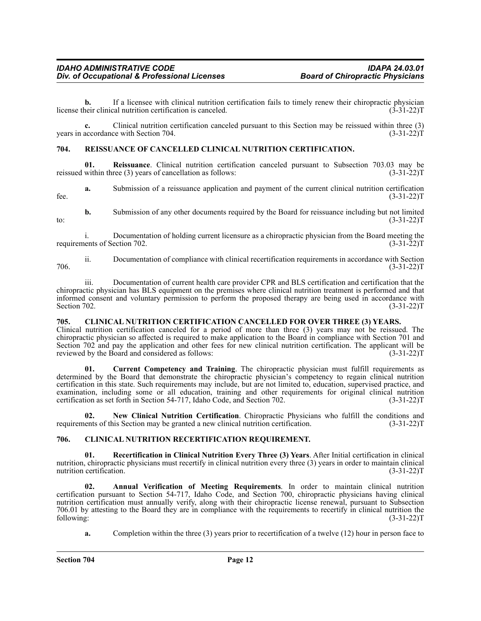**b.** If a licensee with clinical nutrition certification fails to timely renew their chiropractic physician license their clinical nutrition certification is canceled. (3-31-22)T

**c.** Clinical nutrition certification canceled pursuant to this Section may be reissued within three (3) years in accordance with Section 704. (3-31-22)T

### <span id="page-11-0"></span>**704. REISSUANCE OF CANCELLED CLINICAL NUTRITION CERTIFICATION.**

**01.** Reissuance. Clinical nutrition certification canceled pursuant to Subsection 703.03 may be within three (3) years of cancellation as follows: (3-31-22) reissued within three  $(3)$  years of cancellation as follows:

**a.** Submission of a reissuance application and payment of the current clinical nutrition certification fee.  $(3-31-22)T$ 

**b.** Submission of any other documents required by the Board for reissuance including but not limited (3-31-22)T to:  $(3-31-22)T$ 

i. Documentation of holding current licensure as a chiropractic physician from the Board meeting the lents of Section 702. (3-31-22) requirements of Section 702.

ii. Documentation of compliance with clinical recertification requirements in accordance with Section 706. (3-31-22)T

iii. Documentation of current health care provider CPR and BLS certification and certification that the chiropractic physician has BLS equipment on the premises where clinical nutrition treatment is performed and that informed consent and voluntary permission to perform the proposed therapy are being used in accordance with Section 702. (3-31-22) Section 702. (3-31-22)T

### <span id="page-11-1"></span>**705. CLINICAL NUTRITION CERTIFICATION CANCELLED FOR OVER THREE (3) YEARS.**

Clinical nutrition certification canceled for a period of more than three (3) years may not be reissued. The chiropractic physician so affected is required to make application to the Board in compliance with Section 701 and Section 702 and pay the application and other fees for new clinical nutrition certification. The applicant will be reviewed by the Board and considered as follows: (3-31-22)T

**01. Current Competency and Training**. The chiropractic physician must fulfill requirements as determined by the Board that demonstrate the chiropractic physician's competency to regain clinical nutrition certification in this state. Such requirements may include, but are not limited to, education, supervised practice, and examination, including some or all education, training and other requirements for original clinical nutrition certification as set forth in Section 54-717, Idaho Code, and Section 702. (3-31-22) certification as set forth in Section 54-717, Idaho Code, and Section 702.

**02. New Clinical Nutrition Certification**. Chiropractic Physicians who fulfill the conditions and requirements of this Section may be granted a new clinical nutrition certification. (3-31-22)T

### <span id="page-11-2"></span>**706. CLINICAL NUTRITION RECERTIFICATION REQUIREMENT.**

**01. Recertification in Clinical Nutrition Every Three (3) Years**. After Initial certification in clinical nutrition, chiropractic physicians must recertify in clinical nutrition every three (3) years in order to maintain clinical nutrition certification. (3-31-22) nutrition certification.

**02. Annual Verification of Meeting Requirements**. In order to maintain clinical nutrition certification pursuant to Section 54-717, Idaho Code, and Section 700, chiropractic physicians having clinical nutrition certification must annually verify, along with their chiropractic license renewal, pursuant to Subsection 706.01 by attesting to the Board they are in compliance with the requirements to recertify in clinical nutrition the following:  $(3-31-22)$ following: (3-31-22)T

**a.** Completion within the three (3) years prior to recertification of a twelve (12) hour in person face to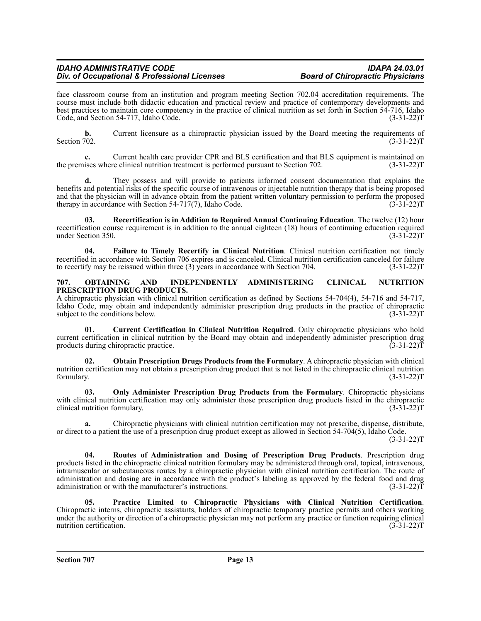face classroom course from an institution and program meeting Section 702.04 accreditation requirements. The course must include both didactic education and practical review and practice of contemporary developments and best practices to maintain core competency in the practice of clinical nutrition as set forth in Section 54-716, Idaho Code, and Section 54-717, Idaho Code. (3-31-22)T

**b.** Current licensure as a chiropractic physician issued by the Board meeting the requirements of Section 702. (3-31-22) Section 702.  $(3-31-22)T$ 

**c.** Current health care provider CPR and BLS certification and that BLS equipment is maintained on the premises where clinical nutrition treatment is performed pursuant to Section 702. (3-31-22) (3-31-22) T

**d.** They possess and will provide to patients informed consent documentation that explains the benefits and potential risks of the specific course of intravenous or injectable nutrition therapy that is being proposed and that the physician will in advance obtain from the patient written voluntary permission to perform the proposed therapy in accordance with Section 54-717(7), Idaho Code. (3-31-22)T

**03. Recertification is in Addition to Required Annual Continuing Education**. The twelve (12) hour recertification course requirement is in addition to the annual eighteen (18) hours of continuing education required under Section 350. (3-31-22)T

**04. Failure to Timely Recertify in Clinical Nutrition**. Clinical nutrition certification not timely recertified in accordance with Section 706 expires and is canceled. Clinical nutrition certification canceled for failure<br>to recertify may be reissued within three (3) years in accordance with Section 704. (3-31-22) to recertify may be reissued within three  $(3)$  years in accordance with Section 704.

### <span id="page-12-0"></span>**707. OBTAINING AND INDEPENDENTLY ADMINISTERING CLINICAL NUTRITION PRESCRIPTION DRUG PRODUCTS.**

A chiropractic physician with clinical nutrition certification as defined by Sections 54-704(4), 54-716 and 54-717, Idaho Code, may obtain and independently administer prescription drug products in the practice of chiropractic subject to the conditions below. (3-31-22) subject to the conditions below.

**01. Current Certification in Clinical Nutrition Required**. Only chiropractic physicians who hold current certification in clinical nutrition by the Board may obtain and independently administer prescription drug products during chiropractic practice. (3-31-22)T

**02. Obtain Prescription Drugs Products from the Formulary**. A chiropractic physician with clinical nutrition certification may not obtain a prescription drug product that is not listed in the chiropractic clinical nutrition formulary. (3-31-22) formulary. (3-31-22)T

**03. Only Administer Prescription Drug Products from the Formulary**. Chiropractic physicians with clinical nutrition certification may only administer those prescription drug products listed in the chiropractic clinical nutrition formulary. (3-31-22)T

**a.** Chiropractic physicians with clinical nutrition certification may not prescribe, dispense, distribute, or direct to a patient the use of a prescription drug product except as allowed in Section 54-704(5), Idaho Code. (3-31-22)T

**04. Routes of Administration and Dosing of Prescription Drug Products**. Prescription drug products listed in the chiropractic clinical nutrition formulary may be administered through oral, topical, intravenous, intramuscular or subcutaneous routes by a chiropractic physician with clinical nutrition certification. The route of administration and dosing are in accordance with the product's labeling as approved by the federal food and drug administration or with the manufacturer's instructions.  $(3-31-22)\bar{T}$ 

**05. Practice Limited to Chiropractic Physicians with Clinical Nutrition Certification**. Chiropractic interns, chiropractic assistants, holders of chiropractic temporary practice permits and others working under the authority or direction of a chiropractic physician may not perform any practice or function requiring clinical<br>nutrition certification. (3-31-22) nutrition certification.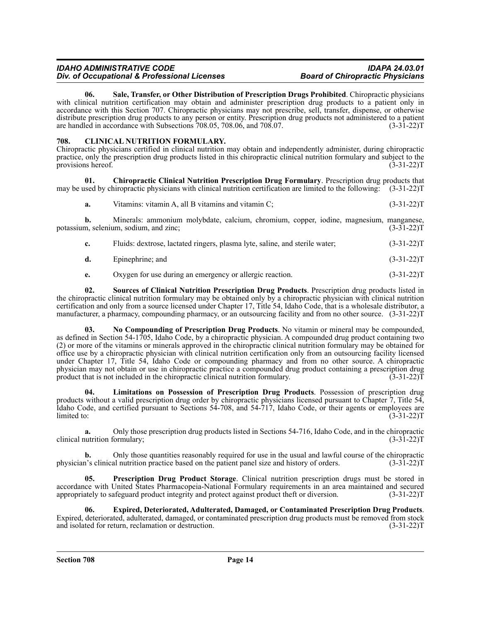**06. Sale, Transfer, or Other Distribution of Prescription Drugs Prohibited**. Chiropractic physicians with clinical nutrition certification may obtain and administer prescription drug products to a patient only in accordance with this Section 707. Chiropractic physicians may not prescribe, sell, transfer, dispense, or otherwise distribute prescription drug products to any person or entity. Prescription drug products not administered to a patient are handled in accordance with Subsections  $708.05$ ,  $708.06$ , and  $708.07$ . (3-31-22)T

### <span id="page-13-0"></span>**708. CLINICAL NUTRITION FORMULARY.**

Chiropractic physicians certified in clinical nutrition may obtain and independently administer, during chiropractic practice, only the prescription drug products listed in this chiropractic clinical nutrition formulary and subject to the provisions hereof. (3-31-22)T

**01. Chiropractic Clinical Nutrition Prescription Drug Formulary**. Prescription drug products that may be used by chiropractic physicians with clinical nutrition certification are limited to the following: (3-31-22)T

**a.** Vitamins: vitamin A, all B vitamins and vitamin C; (3-31-22)T

**b.** Minerals: ammonium molybdate, calcium, chromium, copper, iodine, magnesium, manganese, m, selenium, sodium, and zinc; (3-31-22) potassium, selenium, sodium, and zinc;

| Fluids: dextrose, lactated ringers, plasma lyte, saline, and sterile water; | $(3-31-22)T$ |
|-----------------------------------------------------------------------------|--------------|
|                                                                             |              |

- **d.** Epinephrine; and (3-31-22)T
- **e.** Oxygen for use during an emergency or allergic reaction. (3-31-22) (3-31-22) T

**02. Sources of Clinical Nutrition Prescription Drug Products**. Prescription drug products listed in the chiropractic clinical nutrition formulary may be obtained only by a chiropractic physician with clinical nutrition certification and only from a source licensed under Chapter 17, Title 54, Idaho Code, that is a wholesale distributor, a manufacturer, a pharmacy, compounding pharmacy, or an outsourcing facility and from no other source. (3-31-22)T

**03. No Compounding of Prescription Drug Products**. No vitamin or mineral may be compounded, as defined in Section 54-1705, Idaho Code, by a chiropractic physician. A compounded drug product containing two (2) or more of the vitamins or minerals approved in the chiropractic clinical nutrition formulary may be obtained for office use by a chiropractic physician with clinical nutrition certification only from an outsourcing facility licensed under Chapter 17, Title 54, Idaho Code or compounding pharmacy and from no other source. A chiropractic physician may not obtain or use in chiropractic practice a compounded drug product containing a prescription drug<br>product that is not included in the chiropractic clinical nutrition formulary. (3-31-22) product that is not included in the chiropractic clinical nutrition formulary.

**04. Limitations on Possession of Prescription Drug Products**. Possession of prescription drug products without a valid prescription drug order by chiropractic physicians licensed pursuant to Chapter 7, Title 54, Idaho Code, and certified pursuant to Sections 54-708, and 54-717, Idaho Code, or their agents or employees are  $\text{limited to:} \tag{3-31-22}$ 

**a.** Only those prescription drug products listed in Sections 54-716, Idaho Code, and in the chiropractic nutrition formulary; (3-31-22)T clinical nutrition formulary;

**b.** Only those quantities reasonably required for use in the usual and lawful course of the chiropractic physician's clinical nutrition practice based on the patient panel size and history of orders. (3-31-22)T

**05. Prescription Drug Product Storage**. Clinical nutrition prescription drugs must be stored in accordance with United States Pharmacopeia-National Formulary requirements in an area maintained and secured appropriately to safeguard product integrity and protect against product theft or diversion. (3-31-22)T

**06. Expired, Deteriorated, Adulterated, Damaged, or Contaminated Prescription Drug Products**. Expired, deteriorated, adulterated, damaged, or contaminated prescription drug products must be removed from stock and isolated for return, reclamation or destruction.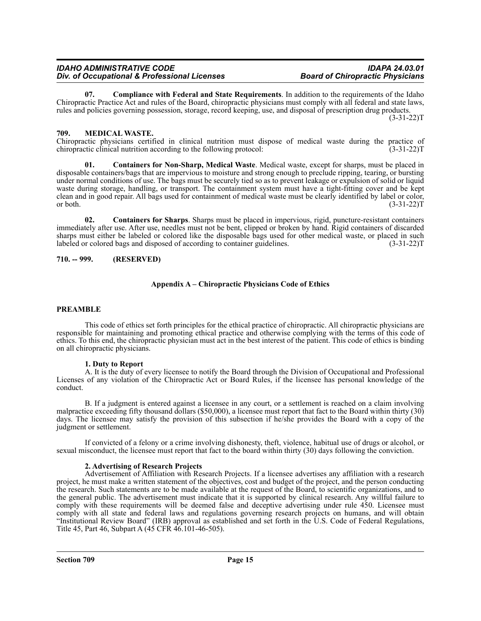**07. Compliance with Federal and State Requirements**. In addition to the requirements of the Idaho Chiropractic Practice Act and rules of the Board, chiropractic physicians must comply with all federal and state laws, rules and policies governing possession, storage, record keeping, use, and disposal of prescription drug products. (3-31-22)T

### <span id="page-14-0"></span>**709. MEDICAL WASTE.**

Chiropractic physicians certified in clinical nutrition must dispose of medical waste during the practice of chiropractic clinical nutrition according to the following protocol:

**01. Containers for Non-Sharp, Medical Waste**. Medical waste, except for sharps, must be placed in disposable containers/bags that are impervious to moisture and strong enough to preclude ripping, tearing, or bursting under normal conditions of use. The bags must be securely tied so as to prevent leakage or expulsion of solid or liquid waste during storage, handling, or transport. The containment system must have a tight-fitting cover and be kept clean and in good repair. All bags used for containment of medical waste must be clearly identified by label or color, or both.  $(3-31-22)T$ 

**02. Containers for Sharps**. Sharps must be placed in impervious, rigid, puncture-resistant containers immediately after use. After use, needles must not be bent, clipped or broken by hand. Rigid containers of discarded sharps must either be labeled or colored like the disposable bags used for other medical waste, or placed in such labeled or colored bags and disposed of according to container guidelines. (3-31-22) labeled or colored bags and disposed of according to container guidelines.

### <span id="page-14-1"></span>**710. -- 999. (RESERVED)**

### **Appendix A – Chiropractic Physicians Code of Ethics**

### **PREAMBLE**

This code of ethics set forth principles for the ethical practice of chiropractic. All chiropractic physicians are responsible for maintaining and promoting ethical practice and otherwise complying with the terms of this code of ethics. To this end, the chiropractic physician must act in the best interest of the patient. This code of ethics is binding on all chiropractic physicians.

### **1. Duty to Report**

A. It is the duty of every licensee to notify the Board through the Division of Occupational and Professional Licenses of any violation of the Chiropractic Act or Board Rules, if the licensee has personal knowledge of the conduct.

B. If a judgment is entered against a licensee in any court, or a settlement is reached on a claim involving malpractice exceeding fifty thousand dollars (\$50,000), a licensee must report that fact to the Board within thirty (30) days. The licensee may satisfy the provision of this subsection if he/she provides the Board with a copy of the judgment or settlement.

If convicted of a felony or a crime involving dishonesty, theft, violence, habitual use of drugs or alcohol, or sexual misconduct, the licensee must report that fact to the board within thirty (30) days following the conviction.

### **2. Advertising of Research Projects**

Advertisement of Affiliation with Research Projects. If a licensee advertises any affiliation with a research project, he must make a written statement of the objectives, cost and budget of the project, and the person conducting the research. Such statements are to be made available at the request of the Board, to scientific organizations, and to the general public. The advertisement must indicate that it is supported by clinical research. Any willful failure to comply with these requirements will be deemed false and deceptive advertising under rule 450. Licensee must comply with all state and federal laws and regulations governing research projects on humans, and will obtain "Institutional Review Board" (IRB) approval as established and set forth in the U.S. Code of Federal Regulations, Title 45, Part 46, Subpart A (45 CFR 46.101-46-505).